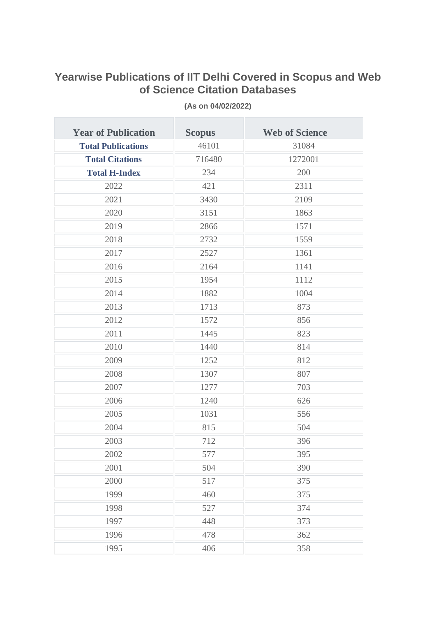## **Yearwise Publications of IIT Delhi Covered in Scopus and Web of Science Citation Databases**

| <b>Year of Publication</b> | <b>Scopus</b> | <b>Web of Science</b> |
|----------------------------|---------------|-----------------------|
| <b>Total Publications</b>  | 46101         | 31084                 |
| <b>Total Citations</b>     | 716480        | 1272001               |
| <b>Total H-Index</b>       | 234           | 200                   |
| 2022                       | 421           | 2311                  |
| 2021                       | 3430          | 2109                  |
| 2020                       | 3151          | 1863                  |
| 2019                       | 2866          | 1571                  |
| 2018                       | 2732          | 1559                  |
| 2017                       | 2527          | 1361                  |
| 2016                       | 2164          | 1141                  |
| 2015                       | 1954          | 1112                  |
| 2014                       | 1882          | 1004                  |
| 2013                       | 1713          | 873                   |
| 2012                       | 1572          | 856                   |
| 2011                       | 1445          | 823                   |
| 2010                       | 1440          | 814                   |
| 2009                       | 1252          | 812                   |
| 2008                       | 1307          | 807                   |
| 2007                       | 1277          | 703                   |
| 2006                       | 1240          | 626                   |
| 2005                       | 1031          | 556                   |
| 2004                       | 815           | 504                   |
| 2003                       | 712           | 396                   |
| 2002                       | 577           | 395                   |
| 2001                       | 504           | 390                   |
| 2000                       | 517           | 375                   |
| 1999                       | 460           | 375                   |
| 1998                       | 527           | 374                   |
| 1997                       | 448           | 373                   |
| 1996                       | 478           | 362                   |
| 1995                       | 406           | 358                   |

**(As on 04/02/2022)**